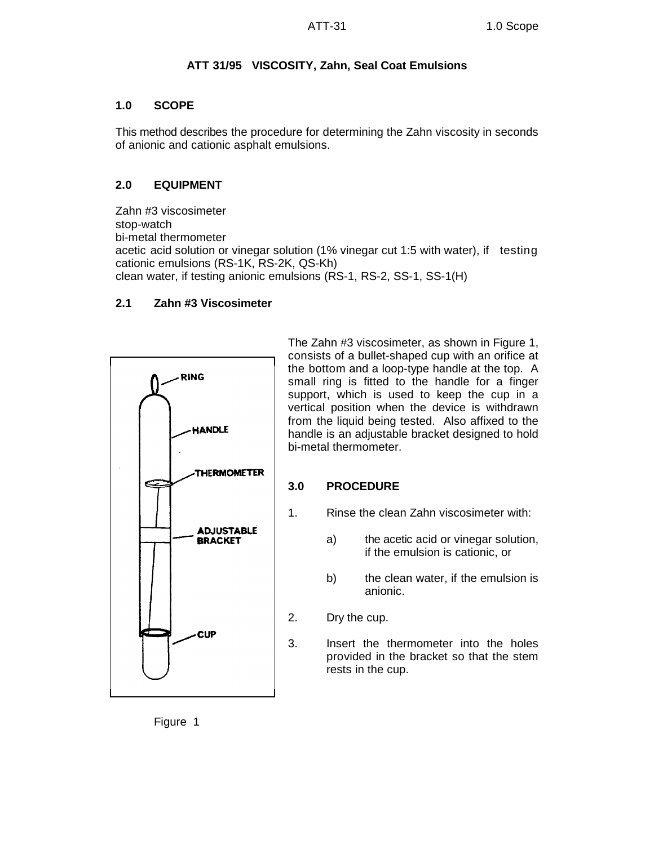# **ATT 31/95 VISCOSITY, Zahn, Seal Coat Emulsions**

## **1.0 SCOPE**

This method describes the procedure for determining the Zahn viscosity in seconds of anionic and cationic asphalt emulsions.

# **2.0 EQUIPMENT**

Zahn #3 viscosimeter stop-watch bi-metal thermometer acetic acid solution or vinegar solution (1% vinegar cut 1:5 with water), if testing cationic emulsions (RS-1K, RS-2K, QS-Kh) clean water, if testing anionic emulsions (RS-1, RS-2, SS-1, SS-1(H)

## **2.1 Zahn #3 Viscosimeter**



The Zahn #3 viscosimeter, as shown in Figure 1, consists of a bullet-shaped cup with an orifice at the bottom and a loop-type handle at the top. A small ring is fitted to the handle for a finger support, which is used to keep the cup in a vertical position when the device is withdrawn from the liquid being tested. Also affixed to the handle is an adjustable bracket designed to hold bi-metal thermometer.

## **3.0 PROCEDURE**

- 1. Rinse the clean Zahn viscosimeter with:
	- a) the acetic acid or vinegar solution, if the emulsion is cationic, or
	- b) the clean water, if the emulsion is anionic.
- 2. Dry the cup.
- 3. Insert the thermometer into the holes provided in the bracket so that the stem rests in the cup.

Figure 1